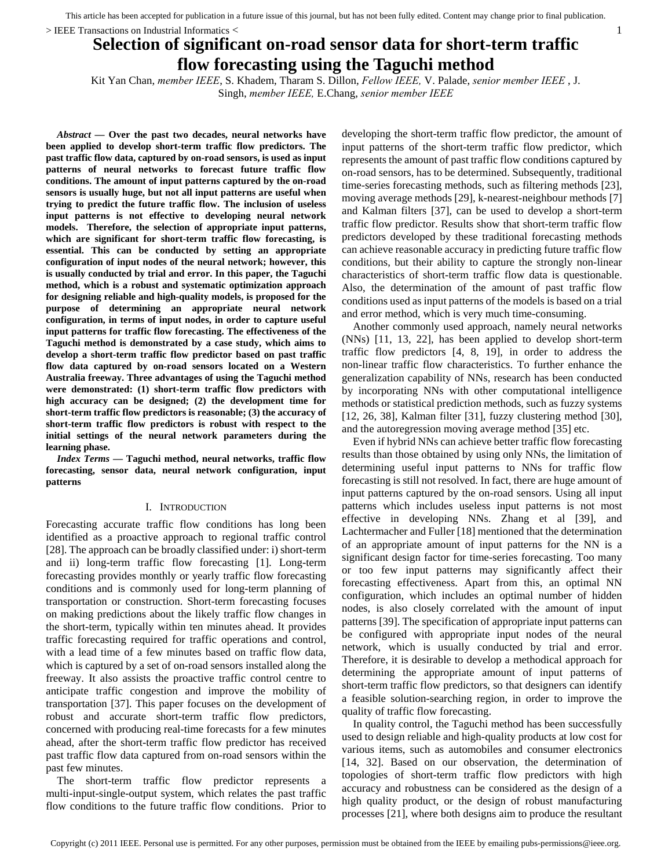# **Selection of significant on-road sensor data for short-term traffic flow forecasting using the Taguchi method**

Kit Yan Chan, *member IEEE*, S. Khadem, Tharam S. Dillon, *Fellow IEEE,* V. Palade, *senior member IEEE* , J. Singh, *member IEEE,* E.Chang, *senior member IEEE*

*Abstract* **— Over the past two decades, neural networks have been applied to develop short-term traffic flow predictors. The past traffic flow data, captured by on-road sensors, is used as input patterns of neural networks to forecast future traffic flow conditions. The amount of input patterns captured by the on-road sensors is usually huge, but not all input patterns are useful when trying to predict the future traffic flow. The inclusion of useless input patterns is not effective to developing neural network models. Therefore, the selection of appropriate input patterns, which are significant for short-term traffic flow forecasting, is essential. This can be conducted by setting an appropriate configuration of input nodes of the neural network; however, this is usually conducted by trial and error. In this paper, the Taguchi method, which is a robust and systematic optimization approach for designing reliable and high-quality models, is proposed for the purpose of determining an appropriate neural network configuration, in terms of input nodes, in order to capture useful input patterns for traffic flow forecasting. The effectiveness of the Taguchi method is demonstrated by a case study, which aims to develop a short-term traffic flow predictor based on past traffic flow data captured by on-road sensors located on a Western Australia freeway. Three advantages of using the Taguchi method were demonstrated: (1) short-term traffic flow predictors with high accuracy can be designed; (2) the development time for short-term traffic flow predictors is reasonable; (3) the accuracy of short-term traffic flow predictors is robust with respect to the initial settings of the neural network parameters during the learning phase.** 

*Index Terms* **— Taguchi method, neural networks, traffic flow forecasting, sensor data, neural network configuration, input patterns** 

#### I. INTRODUCTION

Forecasting accurate traffic flow conditions has long been identified as a proactive approach to regional traffic control [28]. The approach can be broadly classified under: i) short-term and ii) long-term traffic flow forecasting [1]. Long-term forecasting provides monthly or yearly traffic flow forecasting conditions and is commonly used for long-term planning of transportation or construction. Short-term forecasting focuses on making predictions about the likely traffic flow changes in the short-term, typically within ten minutes ahead. It provides traffic forecasting required for traffic operations and control, with a lead time of a few minutes based on traffic flow data, which is captured by a set of on-road sensors installed along the freeway. It also assists the proactive traffic control centre to anticipate traffic congestion and improve the mobility of transportation [37]. This paper focuses on the development of robust and accurate short-term traffic flow predictors, concerned with producing real-time forecasts for a few minutes ahead, after the short-term traffic flow predictor has received past traffic flow data captured from on-road sensors within the past few minutes.

 The short-term traffic flow predictor represents a multi-input-single-output system, which relates the past traffic flow conditions to the future traffic flow conditions. Prior to

developing the short-term traffic flow predictor, the amount of input patterns of the short-term traffic flow predictor, which represents the amount of past traffic flow conditions captured by on-road sensors, has to be determined. Subsequently, traditional time-series forecasting methods, such as filtering methods [23], moving average methods [29], k-nearest-neighbour methods [7] and Kalman filters [37], can be used to develop a short-term traffic flow predictor. Results show that short-term traffic flow predictors developed by these traditional forecasting methods can achieve reasonable accuracy in predicting future traffic flow conditions, but their ability to capture the strongly non-linear characteristics of short-term traffic flow data is questionable. Also, the determination of the amount of past traffic flow conditions used as input patterns of the models is based on a trial and error method, which is very much time-consuming.

Another commonly used approach, namely neural networks (NNs) [11, 13, 22], has been applied to develop short-term traffic flow predictors [4, 8, 19], in order to address the non-linear traffic flow characteristics. To further enhance the generalization capability of NNs, research has been conducted by incorporating NNs with other computational intelligence methods or statistical prediction methods, such as fuzzy systems [12, 26, 38], Kalman filter [31], fuzzy clustering method [30], and the autoregression moving average method [35] etc.

Even if hybrid NNs can achieve better traffic flow forecasting results than those obtained by using only NNs, the limitation of determining useful input patterns to NNs for traffic flow forecasting is still not resolved. In fact, there are huge amount of input patterns captured by the on-road sensors. Using all input patterns which includes useless input patterns is not most effective in developing NNs. Zhang et al [39], and Lachtermacher and Fuller [18] mentioned that the determination of an appropriate amount of input patterns for the NN is a significant design factor for time-series forecasting. Too many or too few input patterns may significantly affect their forecasting effectiveness. Apart from this, an optimal NN configuration, which includes an optimal number of hidden nodes, is also closely correlated with the amount of input patterns [39]. The specification of appropriate input patterns can be configured with appropriate input nodes of the neural network, which is usually conducted by trial and error. Therefore, it is desirable to develop a methodical approach for determining the appropriate amount of input patterns of short-term traffic flow predictors, so that designers can identify a feasible solution-searching region, in order to improve the quality of traffic flow forecasting.

In quality control, the Taguchi method has been successfully used to design reliable and high-quality products at low cost for various items, such as automobiles and consumer electronics [14, 32]. Based on our observation, the determination of topologies of short-term traffic flow predictors with high accuracy and robustness can be considered as the design of a high quality product, or the design of robust manufacturing processes [21], where both designs aim to produce the resultant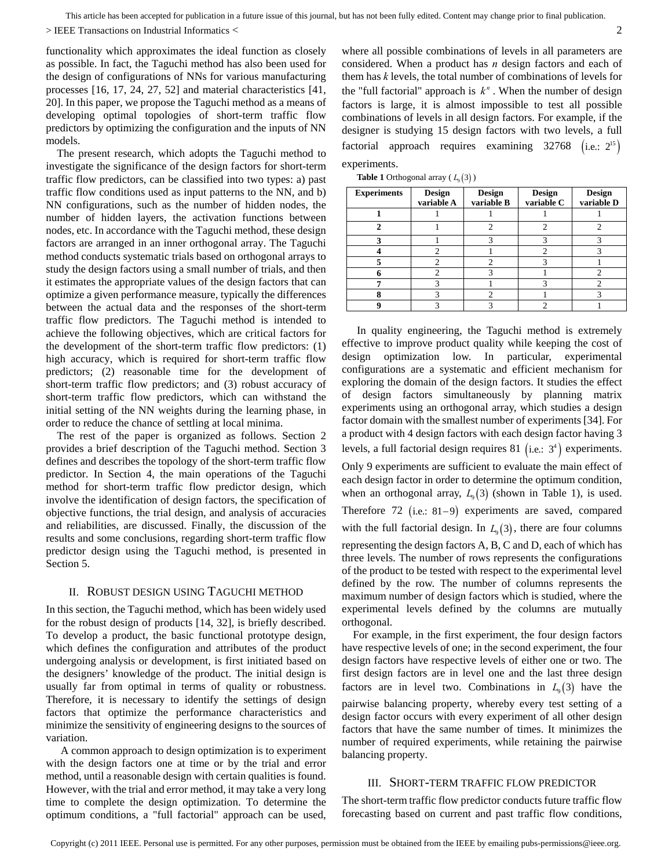functionality which approximates the ideal function as closely as possible. In fact, the Taguchi method has also been used for the design of configurations of NNs for various manufacturing processes [16, 17, 24, 27, 52] and material characteristics [41, 20]. In this paper, we propose the Taguchi method as a means of developing optimal topologies of short-term traffic flow predictors by optimizing the configuration and the inputs of NN models.

The present research, which adopts the Taguchi method to investigate the significance of the design factors for short-term traffic flow predictors, can be classified into two types: a) past traffic flow conditions used as input patterns to the NN, and b) NN configurations, such as the number of hidden nodes, the number of hidden layers, the activation functions between nodes, etc. In accordance with the Taguchi method, these design factors are arranged in an inner orthogonal array. The Taguchi method conducts systematic trials based on orthogonal arrays to study the design factors using a small number of trials, and then it estimates the appropriate values of the design factors that can optimize a given performance measure, typically the differences between the actual data and the responses of the short-term traffic flow predictors. The Taguchi method is intended to achieve the following objectives, which are critical factors for the development of the short-term traffic flow predictors: (1) high accuracy, which is required for short-term traffic flow predictors; (2) reasonable time for the development of short-term traffic flow predictors; and (3) robust accuracy of short-term traffic flow predictors, which can withstand the initial setting of the NN weights during the learning phase, in order to reduce the chance of settling at local minima.

The rest of the paper is organized as follows. Section 2 provides a brief description of the Taguchi method. Section 3 defines and describes the topology of the short-term traffic flow predictor. In Section 4, the main operations of the Taguchi method for short-term traffic flow predictor design, which involve the identification of design factors, the specification of objective functions, the trial design, and analysis of accuracies and reliabilities, are discussed. Finally, the discussion of the results and some conclusions, regarding short-term traffic flow predictor design using the Taguchi method, is presented in Section 5.

## II. ROBUST DESIGN USING TAGUCHI METHOD

In this section, the Taguchi method, which has been widely used for the robust design of products [14, 32], is briefly described. To develop a product, the basic functional prototype design, which defines the configuration and attributes of the product undergoing analysis or development, is first initiated based on the designers' knowledge of the product. The initial design is usually far from optimal in terms of quality or robustness. Therefore, it is necessary to identify the settings of design factors that optimize the performance characteristics and minimize the sensitivity of engineering designs to the sources of variation.

A common approach to design optimization is to experiment with the design factors one at time or by the trial and error method, until a reasonable design with certain qualities is found. However, with the trial and error method, it may take a very long time to complete the design optimization. To determine the optimum conditions, a "full factorial" approach can be used, where all possible combinations of levels in all parameters are considered. When a product has *n* design factors and each of them has *k* levels, the total number of combinations of levels for the "full factorial" approach is  $k<sup>n</sup>$ . When the number of design factors is large, it is almost impossible to test all possible combinations of levels in all design factors. For example, if the designer is studying 15 design factors with two levels, a full factorial approach requires examining  $32768$  (i.e.:  $2^{15}$ ) experiments.

|  |  | <b>Table 1</b> Orthogonal array ( $L_9(3)$ ) |  |
|--|--|----------------------------------------------|--|
|--|--|----------------------------------------------|--|

| <b>Experiments</b> | <b>Design</b><br>variable A | <b>Design</b><br>variable B | Design<br>variable C | <b>Design</b><br>variable D |
|--------------------|-----------------------------|-----------------------------|----------------------|-----------------------------|
|                    |                             |                             |                      |                             |
|                    |                             |                             |                      |                             |
|                    |                             |                             |                      |                             |
|                    |                             |                             |                      |                             |
|                    |                             |                             |                      |                             |
|                    |                             |                             |                      |                             |
|                    |                             |                             |                      |                             |
|                    |                             |                             |                      |                             |
|                    |                             |                             |                      |                             |

In quality engineering, the Taguchi method is extremely effective to improve product quality while keeping the cost of design optimization low. In particular, experimental configurations are a systematic and efficient mechanism for exploring the domain of the design factors. It studies the effect of design factors simultaneously by planning matrix experiments using an orthogonal array, which studies a design factor domain with the smallest number of experiments [34]. For a product with 4 design factors with each design factor having 3 levels, a full factorial design requires 81 (i.e.:  $3<sup>4</sup>$ ) experiments. Only 9 experiments are sufficient to evaluate the main effect of each design factor in order to determine the optimum condition, when an orthogonal array,  $L_{\text{9}}(3)$  (shown in Table 1), is used. Therefore  $72$  (i.e.:  $81-9$ ) experiments are saved, compared with the full factorial design. In  $L_{\text{0}}(3)$ , there are four columns representing the design factors A, B, C and D, each of which has three levels. The number of rows represents the configurations of the product to be tested with respect to the experimental level defined by the row. The number of columns represents the maximum number of design factors which is studied, where the experimental levels defined by the columns are mutually orthogonal.

For example, in the first experiment, the four design factors have respective levels of one; in the second experiment, the four design factors have respective levels of either one or two. The first design factors are in level one and the last three design factors are in level two. Combinations in  $L_{9}(3)$  have the pairwise balancing property, whereby every test setting of a design factor occurs with every experiment of all other design factors that have the same number of times. It minimizes the number of required experiments, while retaining the pairwise balancing property.

## III. SHORT-TERM TRAFFIC FLOW PREDICTOR

The short-term traffic flow predictor conducts future traffic flow forecasting based on current and past traffic flow conditions,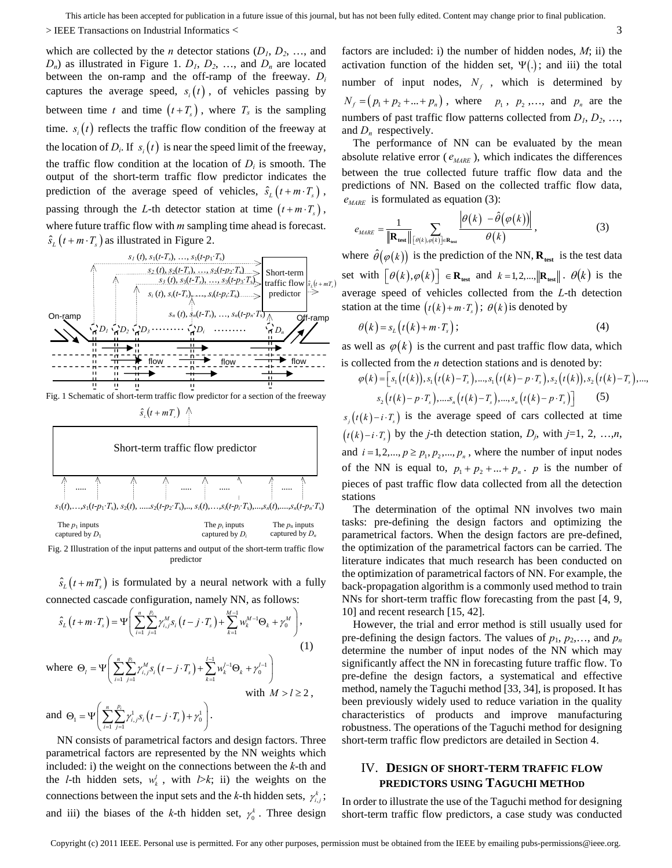which are collected by the *n* detector stations  $(D_1, D_2, \ldots,$  and  $D_n$ ) as illustrated in Figure 1.  $D_1$ ,  $D_2$ , ..., and  $D_n$  are located between the on-ramp and the off-ramp of the freeway. *Di* captures the average speed,  $s_i(t)$ , of vehicles passing by between time *t* and time  $(t + T_s)$ , where  $T_s$  is the sampling time.  $s_i(t)$  reflects the traffic flow condition of the freeway at the location of  $D_i$ . If  $s_i(t)$  is near the speed limit of the freeway, the traffic flow condition at the location of  $D_i$  is smooth. The output of the short-term traffic flow predictor indicates the prediction of the average speed of vehicles,  $\hat{s}_L(t + m \cdot T_s)$ , passing through the *L*-th detector station at time  $(t + m \cdot T_s)$ , where future traffic flow with *m* sampling time ahead is forecast.  $\hat{s}_L(t + m \cdot T_s)$  as illustrated in Figure 2.





Fig. 2 Illustration of the input patterns and output of the short-term traffic flow predictor

 $\hat{s}_{\ell}(t + mT_s)$  is formulated by a neural network with a fully connected cascade configuration, namely NN, as follows:

$$
\hat{s}_{L}(t+m \cdot T_{s}) = \Psi \bigg( \sum_{i=1}^{n} \sum_{j=1}^{p_{i}} \gamma_{i,j}^{M} s_{i} (t-j \cdot T_{s}) + \sum_{k=1}^{M-1} w_{k}^{M-1} \Theta_{k} + \gamma_{0}^{M} \bigg),
$$
\n(1)\nwhere  $\Theta_{l} = \Psi \bigg( \sum_{i=1}^{n} \sum_{j=1}^{p_{i}} \gamma_{i,j}^{M} s_{i} (t-j \cdot T_{s}) + \sum_{k=1}^{l-1} w_{k}^{l-1} \Theta_{k} + \gamma_{0}^{l-1} \bigg)$   
\nwith  $M > l \ge 2$ ,\nand  $\Theta_{1} = \Psi \bigg( \sum_{i=1}^{n} \sum_{j=1}^{p_{i}} \gamma_{i,j}^{1} s_{i} (t-j \cdot T_{s}) + \gamma_{0}^{l} \bigg).$ 

and  $\Theta_1 = \Psi \Bigg[ \sum_{i=1} \sum_{j=1}^n \gamma_{i,j}^1 s_i \left( t - j \cdot T_s \right) + \gamma_0^1 \Bigg]$ NN consists of parametrical factors and design factors. Three parametrical factors are represented by the NN weights which included: i) the weight on the connections between the *k*-th and the *l*-th hidden sets,  $w_k$ , with *l*>*k*; ii) the weights on the connections between the input sets and the *k*-th hidden sets,  $\gamma_{i,j}^k$ ; and iii) the biases of the *k*-th hidden set,  $\gamma_0^k$ . Three design factors are included: i) the number of hidden nodes, *M*; ii) the activation function of the hidden set,  $\Psi(.)$ ; and iii) the total number of input nodes,  $N_f$ , which is determined by  $N_f = (p_1 + p_2 + ... + p_n)$ , where  $p_1, p_2, ...,$  and  $p_n$  are the numbers of past traffic flow patterns collected from  $D_1, D_2, \ldots$ and *Dn* respectively.

The performance of NN can be evaluated by the mean absolute relative error ( $e_{\text{MARE}}$ ), which indicates the differences between the true collected future traffic flow data and the predictions of NN. Based on the collected traffic flow data,  $e_{\text{MARE}}$  is formulated as equation (3):

$$
e_{\text{MARE}} = \frac{1}{\|\mathbf{R}_{\text{test}}\|_{\left[\theta(k),\varphi(k)\right] \in \mathbf{R}_{\text{test}}}} \frac{\left|\theta(k) - \hat{\theta}\big(\varphi(k)\big)\right|}{\theta(k)},
$$
(3)

where  $\hat{\theta}(\varphi(k))$  is the prediction of the NN,  $\mathbf{R}_{\text{test}}$  is the test data set with  $\left[\theta(k), \varphi(k)\right] \in \mathbf{R}_{\text{test}}$  and  $k = 1, 2, \dots, \|\mathbf{R}_{\text{test}}\|$ .  $\theta(k)$  is the average speed of vehicles collected from the *L*-th detection station at the time  $(t(k) + m \cdot T_s)$ ;  $\theta(k)$  is denoted by

$$
\theta(k) = s_L \left( t(k) + m \cdot T_s \right); \tag{4}
$$

as well as  $\varphi(k)$  is the current and past traffic flow data, which is collected from the *n* detection stations and is denoted by:

$$
\varphi(k) = \left[s_1(t(k)), s_1(t(k)-T_s), ..., s_1(t(k)-p \cdot T_s), s_2(t(k)), s_2(t(k)-T_s), ...,\\s_2(t(k)-p \cdot T_s), ..., s_n(t(k)-T_s), ..., s_n(t(k)-p \cdot T_s)\right]
$$
\n(5)

 $s_j(t(k) - i \cdot T_s)$  is the average speed of cars collected at time  $(t(k) - i \cdot T_s)$  by the *j*-th detection station, *D<sub>j</sub>*, with *j*=1, 2, …,*n*, and  $i = 1, 2, ..., p \ge p_1, p_2, ..., p_n$ , where the number of input nodes of the NN is equal to,  $p_1 + p_2 + ... + p_n$ . *p* is the number of pieces of past traffic flow data collected from all the detection stations

 The determination of the optimal NN involves two main tasks: pre-defining the design factors and optimizing the parametrical factors. When the design factors are pre-defined, the optimization of the parametrical factors can be carried. The literature indicates that much research has been conducted on the optimization of parametrical factors of NN. For example, the back-propagation algorithm is a commonly used method to train NNs for short-term traffic flow forecasting from the past [4, 9, 10] and recent research [15, 42].

 However, the trial and error method is still usually used for pre-defining the design factors. The values of  $p_1, p_2,...,$  and  $p_n$ determine the number of input nodes of the NN which may significantly affect the NN in forecasting future traffic flow. To pre-define the design factors, a systematical and effective method, namely the Taguchi method [33, 34], is proposed. It has been previously widely used to reduce variation in the quality characteristics of products and improve manufacturing robustness. The operations of the Taguchi method for designing short-term traffic flow predictors are detailed in Section 4.

## IV. **DESIGN OF SHORT-TERM TRAFFIC FLOW PREDICTORS USING TAGUCHI METHOD**

In order to illustrate the use of the Taguchi method for designing short-term traffic flow predictors, a case study was conducted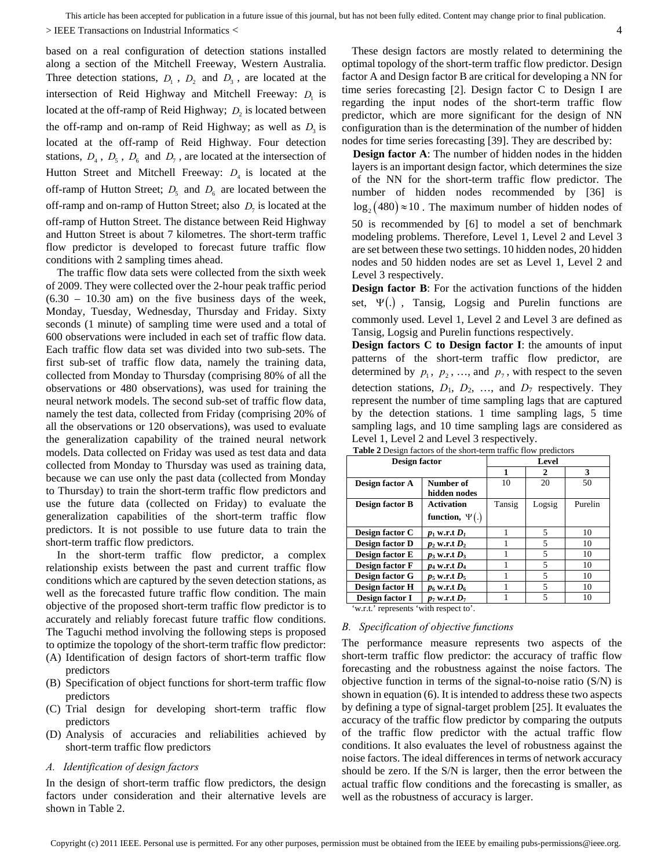based on a real configuration of detection stations installed along a section of the Mitchell Freeway, Western Australia. Three detection stations,  $D_1$ ,  $D_2$  and  $D_3$ , are located at the intersection of Reid Highway and Mitchell Freeway: *D*<sub>1</sub> is located at the off-ramp of Reid Highway; *D*<sub>2</sub> is located between the off-ramp and on-ramp of Reid Highway; as well as  $D<sub>3</sub>$  is located at the off-ramp of Reid Highway. Four detection stations,  $D_4$ ,  $D_5$ ,  $D_6$  and  $D_7$ , are located at the intersection of Hutton Street and Mitchell Freeway:  $D_4$  is located at the off-ramp of Hutton Street;  $D_5$  and  $D_6$  are located between the off-ramp and on-ramp of Hutton Street; also  $D_7$  is located at the off-ramp of Hutton Street. The distance between Reid Highway and Hutton Street is about 7 kilometres. The short-term traffic flow predictor is developed to forecast future traffic flow conditions with 2 sampling times ahead.

The traffic flow data sets were collected from the sixth week of 2009. They were collected over the 2-hour peak traffic period  $(6.30 - 10.30)$  am) on the five business days of the week, Monday, Tuesday, Wednesday, Thursday and Friday. Sixty seconds (1 minute) of sampling time were used and a total of 600 observations were included in each set of traffic flow data. Each traffic flow data set was divided into two sub-sets. The first sub-set of traffic flow data, namely the training data, collected from Monday to Thursday (comprising 80% of all the observations or 480 observations), was used for training the neural network models. The second sub-set of traffic flow data, namely the test data, collected from Friday (comprising 20% of all the observations or 120 observations), was used to evaluate the generalization capability of the trained neural network models. Data collected on Friday was used as test data and data collected from Monday to Thursday was used as training data, because we can use only the past data (collected from Monday to Thursday) to train the short-term traffic flow predictors and use the future data (collected on Friday) to evaluate the generalization capabilities of the short-term traffic flow predictors. It is not possible to use future data to train the short-term traffic flow predictors.

In the short-term traffic flow predictor, a complex relationship exists between the past and current traffic flow conditions which are captured by the seven detection stations, as well as the forecasted future traffic flow condition. The main objective of the proposed short-term traffic flow predictor is to accurately and reliably forecast future traffic flow conditions. The Taguchi method involving the following steps is proposed to optimize the topology of the short-term traffic flow predictor:

- (A) Identification of design factors of short-term traffic flow predictors
- (B) Specification of object functions for short-term traffic flow predictors
- (C) Trial design for developing short-term traffic flow predictors
- (D) Analysis of accuracies and reliabilities achieved by short-term traffic flow predictors

#### *A. Identification of design factors*

In the design of short-term traffic flow predictors, the design factors under consideration and their alternative levels are shown in Table 2.

These design factors are mostly related to determining the optimal topology of the short-term traffic flow predictor. Design factor A and Design factor B are critical for developing a NN for time series forecasting [2]. Design factor C to Design I are regarding the input nodes of the short-term traffic flow predictor, which are more significant for the design of NN configuration than is the determination of the number of hidden nodes for time series forecasting [39]. They are described by:

**Design factor A**: The number of hidden nodes in the hidden layers is an important design factor, which determines the size of the NN for the short-term traffic flow predictor. The number of hidden nodes recommended by [36] is  $\log_2(480) \approx 10$ . The maximum number of hidden nodes of 50 is recommended by [6] to model a set of benchmark modeling problems. Therefore, Level 1, Level 2 and Level 3 are set between these two settings. 10 hidden nodes, 20 hidden

nodes and 50 hidden nodes are set as Level 1, Level 2 and Level 3 respectively. **Design factor B**: For the activation functions of the hidden

set,  $\Psi(.)$ , Tansig, Logsig and Purelin functions are commonly used. Level 1, Level 2 and Level 3 are defined as Tansig, Logsig and Purelin functions respectively.

**Design factors C to Design factor I**: the amounts of input patterns of the short-term traffic flow predictor, are determined by  $p_1, p_2, ...,$  and  $p_7$ , with respect to the seven detection stations,  $D_1$ ,  $D_2$ , ..., and  $D_7$  respectively. They represent the number of time sampling lags that are captured by the detection stations. 1 time sampling lags, 5 time sampling lags, and 10 time sampling lags are considered as Level 1, Level 2 and Level 3 respectively.

| Design factor   |                     | Level  |        |         |  |  |
|-----------------|---------------------|--------|--------|---------|--|--|
|                 |                     | 1      | 2      | 3       |  |  |
| Design factor A | Number of           | 10     | 20     | 50      |  |  |
|                 | hidden nodes        |        |        |         |  |  |
| Design factor B | <b>Activation</b>   | Tansig | Logsig | Purelin |  |  |
|                 | function, $\Psi(.)$ |        |        |         |  |  |
| Design factor C | $p_1$ w.r.t $D_i$   |        | 5      | 10      |  |  |
| Design factor D | $p_2$ w.r.t $D_2$   |        | 5      | 10      |  |  |
| Design factor E | $p_3$ w.r.t $D_3$   |        | 5      | 10      |  |  |
| Design factor F | $p_4$ w.r.t $D_4$   |        | 5      | 10      |  |  |
| Design factor G | $p_5$ w.r.t $D_5$   |        | 5      | 10      |  |  |
| Design factor H | $p_6$ w.r.t $D_6$   |        | 5      | 10      |  |  |
| Design factor I | $p_7$ w.r.t $D_7$   |        | 5      | 10      |  |  |

**Table 2** Design factors of the short-term traffic flow predictors

'w.r.t.' represents 'with respect to'.

## *B. Specification of objective functions*

The performance measure represents two aspects of the short-term traffic flow predictor: the accuracy of traffic flow forecasting and the robustness against the noise factors. The objective function in terms of the signal-to-noise ratio (S/N) is shown in equation (6). It is intended to address these two aspects by defining a type of signal-target problem [25]. It evaluates the accuracy of the traffic flow predictor by comparing the outputs of the traffic flow predictor with the actual traffic flow conditions. It also evaluates the level of robustness against the noise factors. The ideal differences in terms of network accuracy should be zero. If the S/N is larger, then the error between the actual traffic flow conditions and the forecasting is smaller, as well as the robustness of accuracy is larger.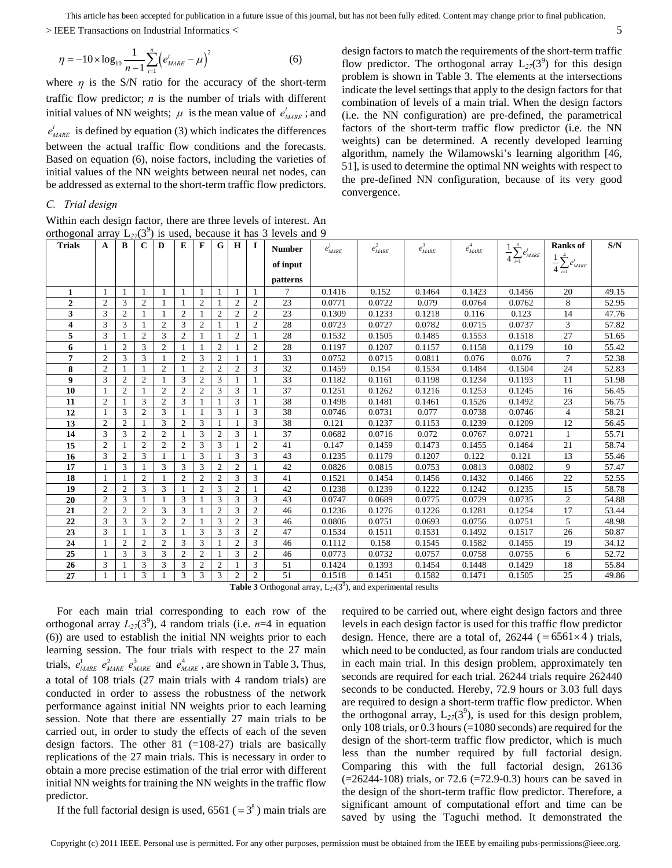This article has been accepted for publication in a future issue of this journal, but has not been fully edited. Content may change prior to final publication. > IEEE Transactions on Industrial Informatics < 5

$$
\eta = -10 \times \log_{10} \frac{1}{n-1} \sum_{i=1}^{n} \left( e_{\text{MARE}}^{i} - \mu \right)^{2} \tag{6}
$$

where  $\eta$  is the S/N ratio for the accuracy of the short-term traffic flow predictor; *n* is the number of trials with different initial values of NN weights;  $\mu$  is the mean value of  $e_{\text{MARE}}^i$ ; and  $e_{\text{MARE}}^i$  is defined by equation (3) which indicates the differences between the actual traffic flow conditions and the forecasts. Based on equation (6), noise factors, including the varieties of initial values of the NN weights between neural net nodes, can be addressed as external to the short-term traffic flow predictors.

## *C. Trial design*

Within each design factor, there are three levels of interest. An orthogonal array  $L_2(3^9)$  is used, because it has 3 levels and 9

design factors to match the requirements of the short-term traffic flow predictor. The orthogonal array  $L_{27}(3^9)$  for this design problem is shown in Table 3. The elements at the intersections indicate the level settings that apply to the design factors for that combination of levels of a main trial. When the design factors (i.e. the NN configuration) are pre-defined, the parametrical factors of the short-term traffic flow predictor (i.e. the NN weights) can be determined. A recently developed learning algorithm, namely the Wilamowski's learning algorithm [46, 51], is used to determine the optimal NN weights with respect to the pre-defined NN configuration, because of its very good convergence.

| orthogonal array $L_2 \eta$ ) is used, because it has 3 levels and 9 |                |                |                |                |                |                |                |                |                |          |                                  |              |              |              |                                      |                                           |       |
|----------------------------------------------------------------------|----------------|----------------|----------------|----------------|----------------|----------------|----------------|----------------|----------------|----------|----------------------------------|--------------|--------------|--------------|--------------------------------------|-------------------------------------------|-------|
| <b>Trials</b>                                                        | $\mathbf{A}$   | $\bf{B}$       | $\mathbf C$    | D              | ${\bf E}$      | $\mathbf{F}$   | G              | $\mathbf{H}$   | $\bf{I}$       | Number   | $e^{\mathrm{l}}_{\mathit{MARE}}$ | $e^2_{MARE}$ | $e^3_{MARE}$ | $e^4_{MARE}$ | $\frac{1}{4}\sum_{i=1}^4 e^i_{MARE}$ | <b>Ranks</b> of                           | S/N   |
|                                                                      |                |                |                |                |                |                |                |                |                | of input |                                  |              |              |              |                                      | $\frac{1}{4} \sum_{i=1}^{4} e_{MARE}^{i}$ |       |
|                                                                      |                |                |                |                |                |                |                |                |                |          |                                  |              |              |              |                                      |                                           |       |
|                                                                      |                |                |                |                |                |                |                |                |                | patterns |                                  |              |              |              |                                      |                                           |       |
| 1                                                                    | -1             |                | 1              | 1              | 1              |                | 1              | 1              | 1              | $\tau$   | 0.1416                           | 0.152        | 0.1464       | 0.1423       | 0.1456                               | 20                                        | 49.15 |
| $\mathbf{2}$                                                         | $\overline{2}$ | 3              | $\overline{c}$ |                | -1             | $\overline{2}$ |                | $\overline{c}$ | 2              | 23       | 0.0771                           | 0.0722       | 0.079        | 0.0764       | 0.0762                               | 8                                         | 52.95 |
| 3                                                                    | 3              | 2              | 1              |                | 2              |                | 2              | $\overline{c}$ | $\overline{c}$ | 23       | 0.1309                           | 0.1233       | 0.1218       | 0.116        | 0.123                                | 14                                        | 47.76 |
| 4                                                                    | 3              | 3              | 1              | $\overline{c}$ | 3              | $\overline{2}$ |                |                | $\overline{c}$ | 28       | 0.0723                           | 0.0727       | 0.0782       | 0.0715       | 0.0737                               | 3                                         | 57.82 |
| 5                                                                    | 3              |                | $\overline{2}$ | 3              | $\mathfrak{2}$ |                |                | $\overline{c}$ |                | 28       | 0.1532                           | 0.1505       | 0.1485       | 0.1553       | 0.1518                               | 27                                        | 51.65 |
| 6                                                                    | $\overline{1}$ | $\overline{c}$ | 3              | 2              | 1              |                | $\overline{c}$ |                | $\overline{c}$ | 28       | 0.1197                           | 0.1207       | 0.1157       | 0.1158       | 0.1179                               | 10                                        | 55.42 |
| 7                                                                    | $\overline{2}$ | 3              | 3              |                | 2              | 3              | $\overline{2}$ |                |                | 33       | 0.0752                           | 0.0715       | 0.0811       | 0.076        | 0.076                                | $\overline{7}$                            | 52.38 |
| 8                                                                    | $\overline{2}$ |                | -1             | 2              | -1             | $\overline{2}$ | $\overline{2}$ | $\overline{c}$ | 3              | 32       | 0.1459                           | 0.154        | 0.1534       | 0.1484       | 0.1504                               | 24                                        | 52.83 |
| 9                                                                    | 3              | 2              | 2              |                | 3              | $\overline{c}$ | 3              |                |                | 33       | 0.1182                           | 0.1161       | 0.1198       | 0.1234       | 0.1193                               | 11                                        | 51.98 |
| 10                                                                   |                | 2              | 1              | $\mathfrak{2}$ | 2              | $\overline{c}$ | 3              | 3              |                | 37       | 0.1251                           | 0.1262       | 0.1216       | 0.1253       | 0.1245                               | 16                                        | 56.45 |
| 11                                                                   | $\overline{2}$ |                | 3              | 2              | 3              |                |                | 3              |                | 38       | 0.1498                           | 0.1481       | 0.1461       | 0.1526       | 0.1492                               | 23                                        | 56.75 |
| 12                                                                   | $\overline{1}$ | 3              | 2              | 3              | 1              |                | 3              |                | 3              | 38       | 0.0746                           | 0.0731       | 0.077        | 0.0738       | 0.0746                               | $\overline{4}$                            | 58.21 |
| 13                                                                   | 2              | 2              | $\mathbf{1}$   | 3              | $\overline{c}$ | 3              |                |                | 3              | 38       | 0.121                            | 0.1237       | 0.1153       | 0.1239       | 0.1209                               | 12                                        | 56.45 |
| 14                                                                   | 3              | 3              | $\overline{c}$ | $\overline{c}$ | $\mathbf{1}$   | 3              | 2              | 3              |                | 37       | 0.0682                           | 0.0716       | 0.072        | 0.0767       | 0.0721                               |                                           | 55.71 |
| 15                                                                   | $\overline{2}$ |                | $\overline{c}$ | $\overline{c}$ | 2              | 3              | 3              |                | 2              | 41       | 0.147                            | 0.1459       | 0.1473       | 0.1455       | 0.1464                               | 21                                        | 58.74 |
| 16                                                                   | 3              | $\overline{2}$ | 3              |                | 1              | 3              |                | 3              | 3              | 43       | 0.1235                           | 0.1179       | 0.1207       | 0.122        | 0.121                                | 13                                        | 55.46 |
| 17                                                                   |                | 3              | $\mathbf{1}$   | 3              | 3              | 3              | 2              | $\overline{c}$ |                | 42       | 0.0826                           | 0.0815       | 0.0753       | 0.0813       | 0.0802                               | 9                                         | 57.47 |
| 18                                                                   | $\overline{1}$ |                | 2              |                | $\overline{c}$ | $\overline{c}$ | 2              | 3              | 3              | 41       | 0.1521                           | 0.1454       | 0.1456       | 0.1432       | 0.1466                               | 22                                        | 52.55 |
| 19                                                                   | $\overline{2}$ | $\overline{c}$ | 3              | 3              | 1              | $\overline{2}$ | 3              | $\overline{c}$ |                | 42       | 0.1238                           | 0.1239       | 0.1222       | 0.1242       | 0.1235                               | 15                                        | 58.78 |
| 20                                                                   | $\overline{2}$ | 3              | 1              |                | 3              |                | 3              | 3              | 3              | 43       | 0.0747                           | 0.0689       | 0.0775       | 0.0729       | 0.0735                               | $\overline{c}$                            | 54.88 |
| 21                                                                   | $\overline{2}$ | $\overline{2}$ | $\overline{c}$ | 3              | 3              |                | $\overline{2}$ | 3              | $\overline{c}$ | 46       | 0.1236                           | 0.1276       | 0.1226       | 0.1281       | 0.1254                               | 17                                        | 53.44 |
| 22                                                                   | 3              | 3              | 3              | $\overline{c}$ | $\mathfrak{2}$ |                | 3              | $\overline{c}$ | 3              | 46       | 0.0806                           | 0.0751       | 0.0693       | 0.0756       | 0.0751                               | 5                                         | 48.98 |
| 23                                                                   | 3              |                | $\mathbf{1}$   | 3              | $\mathbf{1}$   | 3              | 3              | 3              | 2              | 47       | 0.1534                           | 0.1511       | 0.1531       | 0.1492       | 0.1517                               | 26                                        | 50.87 |
| 24                                                                   |                | $\overline{2}$ | $\overline{c}$ | $\overline{c}$ | 3              | 3              |                | $\overline{c}$ | 3              | 46       | 0.1112                           | 0.158        | 0.1545       | 0.1582       | 0.1455                               | 19                                        | 34.12 |
| 25                                                                   | $\overline{1}$ | 3              | 3              | 3              | $\overline{c}$ | $\overline{2}$ |                | 3              | $\overline{c}$ | 46       | 0.0773                           | 0.0732       | 0.0757       | 0.0758       | 0.0755                               | 6                                         | 52.72 |
| 26                                                                   | 3              |                | 3              | 3              | 3              | 2              | 2              |                | 3              | 51       | 0.1424                           | 0.1393       | 0.1454       | 0.1448       | 0.1429                               | 18                                        | 55.84 |
| 27                                                                   |                |                | 3              |                | 3              | 3              | 3              | $\overline{c}$ | $\overline{c}$ | 51       | 0.1518                           | 0.1451       | 0.1582       | 0.1471       | 0.1505                               | 25                                        | 49.86 |

**Table 3** Orthogonal array,  $L_{27}(3^9)$ , and experimental results

For each main trial corresponding to each row of the orthogonal array  $L_2(3^9)$ , 4 random trials (i.e.  $n=4$  in equation (6)) are used to establish the initial NN weights prior to each learning session. The four trials with respect to the 27 main trials,  $e_{\text{MARE}}^1$ ,  $e_{\text{MARE}}^2$ ,  $e_{\text{MARE}}^3$  and  $e_{\text{MARE}}^4$ , are shown in Table 3. Thus, a total of 108 trials (27 main trials with 4 random trials) are conducted in order to assess the robustness of the network performance against initial NN weights prior to each learning session. Note that there are essentially 27 main trials to be carried out, in order to study the effects of each of the seven design factors. The other 81  $(=108-27)$  trials are basically replications of the 27 main trials. This is necessary in order to obtain a more precise estimation of the trial error with different initial NN weights for training the NN weights in the traffic flow predictor.

If the full factorial design is used,  $6561 (= 3<sup>8</sup>)$  main trials are

required to be carried out, where eight design factors and three levels in each design factor is used for this traffic flow predictor design. Hence, there are a total of,  $26244$  (=6561×4) trials, which need to be conducted, as four random trials are conducted in each main trial. In this design problem, approximately ten seconds are required for each trial. 26244 trials require 262440 seconds to be conducted. Hereby, 72.9 hours or 3.03 full days are required to design a short-term traffic flow predictor. When the orthogonal array,  $L_2(3^9)$ , is used for this design problem, only 108 trials, or 0.3 hours (=1080 seconds) are required for the design of the short-term traffic flow predictor, which is much less than the number required by full factorial design. Comparing this with the full factorial design, 26136  $(=26244-108)$  trials, or 72.6  $(=72.9-0.3)$  hours can be saved in the design of the short-term traffic flow predictor. Therefore, a significant amount of computational effort and time can be saved by using the Taguchi method. It demonstrated the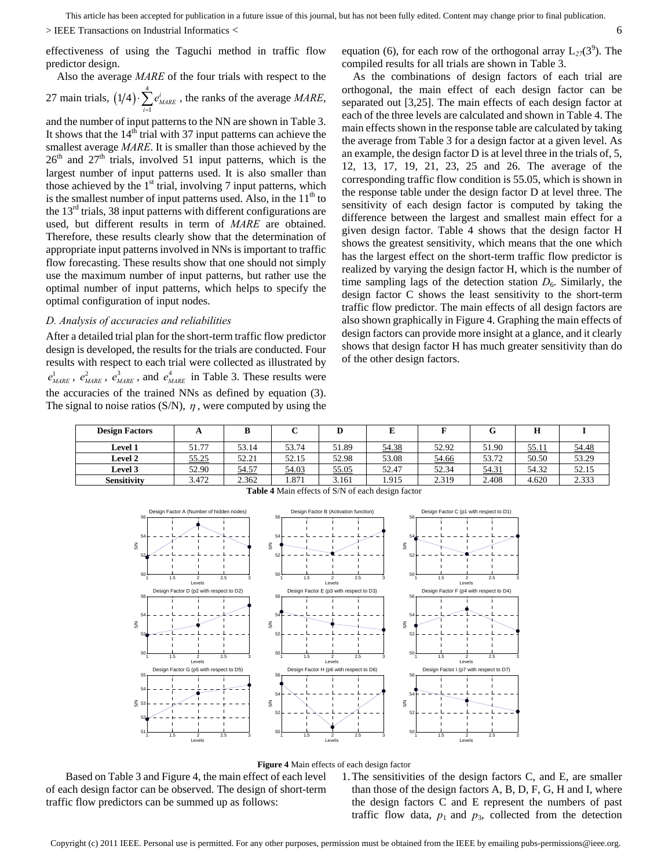effectiveness of using the Taguchi method in traffic flow predictor design.

Also the average *MARE* of the four trials with respect to the 27 main trials,  $(1/4) \cdot \sum_{MARE}^{4}$ , the ranks of the average *MARE*, 1 *i* =

and the number of input patterns to the NN are shown in Table 3. It shows that the  $14<sup>th</sup>$  trial with 37 input patterns can achieve the smallest average *MARE*. It is smaller than those achieved by the  $26<sup>th</sup>$  and  $27<sup>th</sup>$  trials, involved 51 input patterns, which is the largest number of input patterns used. It is also smaller than those achieved by the  $1<sup>st</sup>$  trial, involving 7 input patterns, which is the smallest number of input patterns used. Also, in the  $11<sup>th</sup>$  to the 13rd trials, 38 input patterns with different configurations are used, but different results in term of *MARE* are obtained. Therefore, these results clearly show that the determination of appropriate input patterns involved in NNs is important to traffic flow forecasting. These results show that one should not simply use the maximum number of input patterns, but rather use the optimal number of input patterns, which helps to specify the optimal configuration of input nodes.

#### *D. Analysis of accuracies and reliabilities*

After a detailed trial plan for the short-term traffic flow predictor design is developed, the results for the trials are conducted. Four results with respect to each trial were collected as illustrated by 1  $e_{MARE}^1$ ,  $e_{MARE}^2$ ,  $e_{MARE}^3$ , and  $e_{MARE}^4$  in Table 3. These results were the accuracies of the trained NNs as defined by equation (3). The signal to noise ratios (S/N),  $\eta$ , were computed by using the

equation (6), for each row of the orthogonal array  $L_{27}(3^9)$ . The compiled results for all trials are shown in Table 3.

 As the combinations of design factors of each trial are orthogonal, the main effect of each design factor can be separated out [3,25]. The main effects of each design factor at each of the three levels are calculated and shown in Table 4. The main effects shown in the response table are calculated by taking the average from Table 3 for a design factor at a given level. As an example, the design factor D is at level three in the trials of, 5, 12, 13, 17, 19, 21, 23, 25 and 26. The average of the corresponding traffic flow condition is 55.05, which is shown in the response table under the design factor D at level three. The sensitivity of each design factor is computed by taking the difference between the largest and smallest main effect for a given design factor. Table 4 shows that the design factor H shows the greatest sensitivity, which means that the one which has the largest effect on the short-term traffic flow predictor is realized by varying the design factor H, which is the number of time sampling lags of the detection station  $D_6$ . Similarly, the design factor C shows the least sensitivity to the short-term traffic flow predictor. The main effects of all design factors are also shown graphically in Figure 4. Graphing the main effects of design factors can provide more insight at a glance, and it clearly shows that design factor H has much greater sensitivity than do of the other design factors.

| <b>Design Factors</b> | л.    | D     |       |       | щ,    |       | u     | H     |       |
|-----------------------|-------|-------|-------|-------|-------|-------|-------|-------|-------|
| Level 1               | 51.77 | 53.14 | 53.74 | 51.89 | 54.38 | 52.92 | 51.90 | 55.11 | 54.48 |
| <b>Level 2</b>        | 55.25 | 52.21 | 52.15 | 52.98 | 53.08 | 54.66 | 53.72 | 50.50 | 53.29 |
| <b>Level 3</b>        | 52.90 | 54.57 | 54.03 | 55.05 | 52.47 | 52.34 | 54.31 | 54.32 | 52.15 |
| <b>Sensitivity</b>    | 3.472 | 2.362 | 1.871 | 3.161 | 1.915 | 2.319 | 2.408 | 4.620 | 2.333 |



**Table 4** Main effects of S/N of each design factor

**Figure 4** Main effects of each design factor

Based on Table 3 and Figure 4, the main effect of each level of each design factor can be observed. The design of short-term traffic flow predictors can be summed up as follows:

1.The sensitivities of the design factors C, and E, are smaller than those of the design factors A, B, D, F, G, H and I, where the design factors C and E represent the numbers of past traffic flow data,  $p_1$  and  $p_3$ , collected from the detection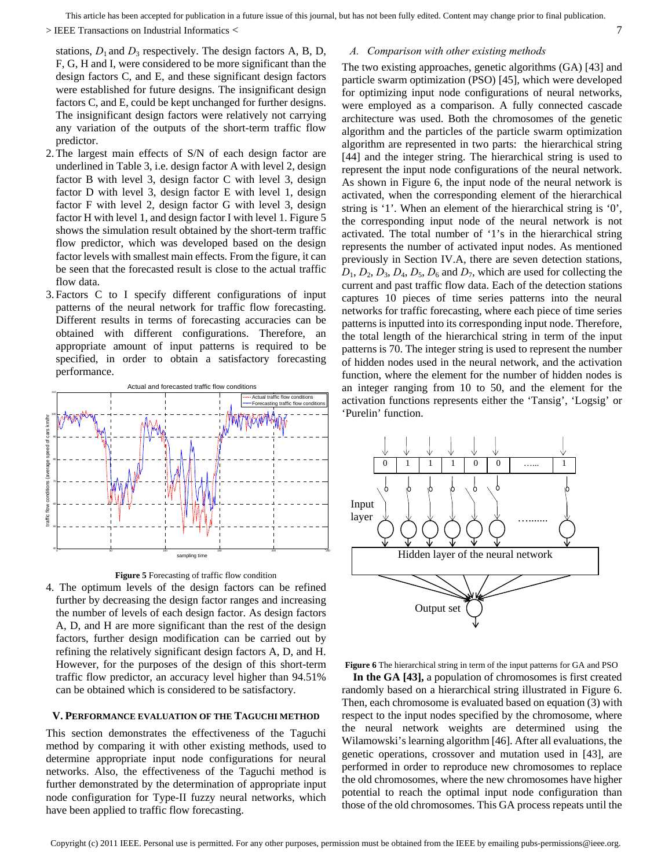This article has been accepted for publication in a future issue of this journal, but has not been fully edited. Content may change prior to final publication. > IEEE Transactions on Industrial Informatics < 7

stations,  $D_1$  and  $D_3$  respectively. The design factors A, B, D, F, G, H and I, were considered to be more significant than the design factors C, and E, and these significant design factors were established for future designs. The insignificant design factors C, and E, could be kept unchanged for further designs. The insignificant design factors were relatively not carrying any variation of the outputs of the short-term traffic flow predictor.

- 2.The largest main effects of S/N of each design factor are underlined in Table 3, i.e. design factor A with level 2, design factor B with level 3, design factor C with level 3, design factor D with level 3, design factor E with level 1, design factor F with level 2, design factor G with level 3, design factor H with level 1, and design factor I with level 1. Figure 5 shows the simulation result obtained by the short-term traffic flow predictor, which was developed based on the design factor levels with smallest main effects. From the figure, it can be seen that the forecasted result is close to the actual traffic flow data.
- 3. Factors C to I specify different configurations of input patterns of the neural network for traffic flow forecasting. Different results in terms of forecasting accuracies can be obtained with different configurations. Therefore, an appropriate amount of input patterns is required to be specified, in order to obtain a satisfactory forecasting performance.





4. The optimum levels of the design factors can be refined further by decreasing the design factor ranges and increasing the number of levels of each design factor. As design factors A, D, and H are more significant than the rest of the design factors, further design modification can be carried out by refining the relatively significant design factors A, D, and H. However, for the purposes of the design of this short-term traffic flow predictor, an accuracy level higher than 94.51% can be obtained which is considered to be satisfactory.

#### **V. PERFORMANCE EVALUATION OF THE TAGUCHI METHOD**

This section demonstrates the effectiveness of the Taguchi method by comparing it with other existing methods, used to determine appropriate input node configurations for neural networks. Also, the effectiveness of the Taguchi method is further demonstrated by the determination of appropriate input node configuration for Type-II fuzzy neural networks, which have been applied to traffic flow forecasting.

#### *A. Comparison with other existing methods*

The two existing approaches, genetic algorithms (GA) [43] and particle swarm optimization (PSO) [45], which were developed for optimizing input node configurations of neural networks, were employed as a comparison. A fully connected cascade architecture was used. Both the chromosomes of the genetic algorithm and the particles of the particle swarm optimization algorithm are represented in two parts: the hierarchical string [44] and the integer string. The hierarchical string is used to represent the input node configurations of the neural network. As shown in Figure 6, the input node of the neural network is activated, when the corresponding element of the hierarchical string is '1'. When an element of the hierarchical string is '0', the corresponding input node of the neural network is not activated. The total number of '1's in the hierarchical string represents the number of activated input nodes. As mentioned previously in Section IV.A, there are seven detection stations,  $D_1$ ,  $D_2$ ,  $D_3$ ,  $D_4$ ,  $D_5$ ,  $D_6$  and  $D_7$ , which are used for collecting the current and past traffic flow data. Each of the detection stations captures 10 pieces of time series patterns into the neural networks for traffic forecasting, where each piece of time series patterns is inputted into its corresponding input node. Therefore, the total length of the hierarchical string in term of the input patterns is 70. The integer string is used to represent the number of hidden nodes used in the neural network, and the activation function, where the element for the number of hidden nodes is an integer ranging from 10 to 50, and the element for the activation functions represents either the 'Tansig', 'Logsig' or 'Purelin' function.



**Figure 6** The hierarchical string in term of the input patterns for GA and PSO

**In the GA [43],** a population of chromosomes is first created randomly based on a hierarchical string illustrated in Figure 6. Then, each chromosome is evaluated based on equation (3) with respect to the input nodes specified by the chromosome, where the neural network weights are determined using the Wilamowski's learning algorithm [46]. After all evaluations, the genetic operations, crossover and mutation used in [43], are performed in order to reproduce new chromosomes to replace the old chromosomes, where the new chromosomes have higher potential to reach the optimal input node configuration than those of the old chromosomes. This GA process repeats until the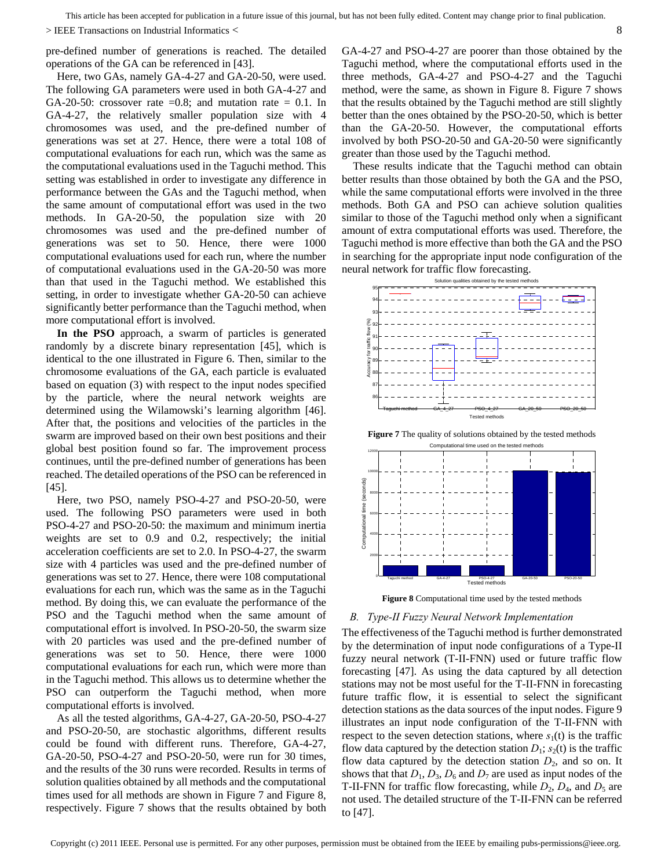pre-defined number of generations is reached. The detailed operations of the GA can be referenced in [43].

Here, two GAs, namely GA-4-27 and GA-20-50, were used. The following GA parameters were used in both GA-4-27 and GA-20-50: crossover rate =0.8; and mutation rate = 0.1. In GA-4-27, the relatively smaller population size with 4 chromosomes was used, and the pre-defined number of generations was set at 27. Hence, there were a total 108 of computational evaluations for each run, which was the same as the computational evaluations used in the Taguchi method. This setting was established in order to investigate any difference in performance between the GAs and the Taguchi method, when the same amount of computational effort was used in the two methods. In GA-20-50, the population size with 20 chromosomes was used and the pre-defined number of generations was set to 50. Hence, there were 1000 computational evaluations used for each run, where the number of computational evaluations used in the GA-20-50 was more than that used in the Taguchi method. We established this setting, in order to investigate whether GA-20-50 can achieve significantly better performance than the Taguchi method, when more computational effort is involved.

**In the PSO** approach, a swarm of particles is generated randomly by a discrete binary representation [45], which is identical to the one illustrated in Figure 6. Then, similar to the chromosome evaluations of the GA, each particle is evaluated based on equation (3) with respect to the input nodes specified by the particle, where the neural network weights are determined using the Wilamowski's learning algorithm [46]. After that, the positions and velocities of the particles in the swarm are improved based on their own best positions and their global best position found so far. The improvement process continues, until the pre-defined number of generations has been reached. The detailed operations of the PSO can be referenced in [45].

Here, two PSO, namely PSO-4-27 and PSO-20-50, were used. The following PSO parameters were used in both PSO-4-27 and PSO-20-50: the maximum and minimum inertia weights are set to 0.9 and 0.2, respectively; the initial acceleration coefficients are set to 2.0. In PSO-4-27, the swarm size with 4 particles was used and the pre-defined number of generations was set to 27. Hence, there were 108 computational evaluations for each run, which was the same as in the Taguchi method. By doing this, we can evaluate the performance of the PSO and the Taguchi method when the same amount of computational effort is involved. In PSO-20-50, the swarm size with 20 particles was used and the pre-defined number of generations was set to 50. Hence, there were 1000 computational evaluations for each run, which were more than in the Taguchi method. This allows us to determine whether the PSO can outperform the Taguchi method, when more computational efforts is involved.

As all the tested algorithms, GA-4-27, GA-20-50, PSO-4-27 and PSO-20-50, are stochastic algorithms, different results could be found with different runs. Therefore, GA-4-27, GA-20-50, PSO-4-27 and PSO-20-50, were run for 30 times, and the results of the 30 runs were recorded. Results in terms of solution qualities obtained by all methods and the computational times used for all methods are shown in Figure 7 and Figure 8, respectively. Figure 7 shows that the results obtained by both GA-4-27 and PSO-4-27 are poorer than those obtained by the Taguchi method, where the computational efforts used in the three methods, GA-4-27 and PSO-4-27 and the Taguchi method, were the same, as shown in Figure 8. Figure 7 shows that the results obtained by the Taguchi method are still slightly better than the ones obtained by the PSO-20-50, which is better than the GA-20-50. However, the computational efforts involved by both PSO-20-50 and GA-20-50 were significantly greater than those used by the Taguchi method.

These results indicate that the Taguchi method can obtain better results than those obtained by both the GA and the PSO, while the same computational efforts were involved in the three methods. Both GA and PSO can achieve solution qualities similar to those of the Taguchi method only when a significant amount of extra computational efforts was used. Therefore, the Taguchi method is more effective than both the GA and the PSO in searching for the appropriate input node configuration of the neural network for traffic flow forecasting.



**Figure 8** Computational time used by the tested methods

#### *B. Type-II Fuzzy Neural Network Implementation*

The effectiveness of the Taguchi method is further demonstrated by the determination of input node configurations of a Type-II fuzzy neural network (T-II-FNN) used or future traffic flow forecasting [47]. As using the data captured by all detection stations may not be most useful for the T-II-FNN in forecasting future traffic flow, it is essential to select the significant detection stations as the data sources of the input nodes. Figure 9 illustrates an input node configuration of the T-II-FNN with respect to the seven detection stations, where  $s_1(t)$  is the traffic flow data captured by the detection station  $D_1$ ;  $s_2(t)$  is the traffic flow data captured by the detection station  $D_2$ , and so on. It shows that that  $D_1$ ,  $D_3$ ,  $D_6$  and  $D_7$  are used as input nodes of the T-II-FNN for traffic flow forecasting, while  $D_2$ ,  $D_4$ , and  $D_5$  are not used. The detailed structure of the T-II-FNN can be referred to [47].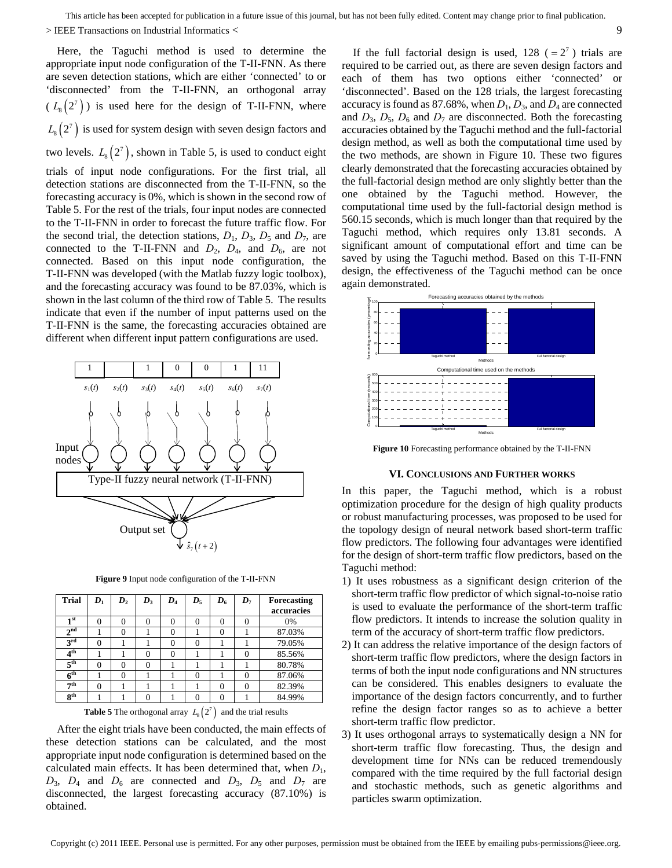Here, the Taguchi method is used to determine the appropriate input node configuration of the T-II-FNN. As there are seven detection stations, which are either 'connected' to or 'disconnected' from the T-II-FNN, an orthogonal array  $(L_{8}(2^{7}))$  is used here for the design of T-II-FNN, where  $L_{8}(2^{7})$  is used for system design with seven design factors and two levels.  $L_{8}(2^{7})$ , shown in Table 5, is used to conduct eight trials of input node configurations. For the first trial, all detection stations are disconnected from the T-II-FNN, so the forecasting accuracy is 0%, which is shown in the second row of Table 5. For the rest of the trials, four input nodes are connected to the T-II-FNN in order to forecast the future traffic flow. For the second trial, the detection stations,  $D_1$ ,  $D_3$ ,  $D_5$  and  $D_7$ , are connected to the T-II-FNN and  $D_2$ ,  $D_4$ , and  $D_6$ , are not connected. Based on this input node configuration, the T-II-FNN was developed (with the Matlab fuzzy logic toolbox), and the forecasting accuracy was found to be 87.03%, which is shown in the last column of the third row of Table 5. The results indicate that even if the number of input patterns used on the T-II-FNN is the same, the forecasting accuracies obtained are different when different input pattern configurations are used.



**Figure 9** Input node configuration of the T-II-FNN

| <b>Trial</b>    | $\boldsymbol{D}_1$ | D <sub>2</sub> | $\mathbf{D}_3$ | $D_4$    | $D_5$    | $D_6$    | $D_7$ | Forecasting<br>accuracies |
|-----------------|--------------------|----------------|----------------|----------|----------|----------|-------|---------------------------|
| 1 <sup>st</sup> | 0                  | 0              | 0              | $\Omega$ | 0        | $\Omega$ | 0     | 0%                        |
| 2 <sup>nd</sup> |                    |                |                | 0        |          | 0        |       | 87.03%                    |
| 3 <sup>rd</sup> | 0                  |                |                | 0        | 0        |          |       | 79.05%                    |
| $4^{\rm th}$    |                    |                | 0              | 0        |          |          |       | 85.56%                    |
| 5 <sup>th</sup> | 0                  |                | 0              |          |          |          |       | 80.78%                    |
| $6^{\rm th}$    |                    |                |                |          | $\Omega$ |          |       | 87.06%                    |
| $\neg$ th       | $\Omega$           |                |                |          |          | $\Omega$ |       | 82.39%                    |
| 8 <sup>th</sup> |                    |                | Ω              |          |          | $\Omega$ |       | 84.99%                    |

**Table 5** The orthogonal array  $L_8(2^7)$  and the trial results

After the eight trials have been conducted, the main effects of these detection stations can be calculated, and the most appropriate input node configuration is determined based on the calculated main effects. It has been determined that, when  $D_1$ ,  $D_3$ ,  $D_4$  and  $D_6$  are connected and  $D_3$ ,  $D_5$  and  $D_7$  are disconnected, the largest forecasting accuracy (87.10%) is obtained.

If the full factorial design is used,  $128 (= 2^7)$  trials are required to be carried out, as there are seven design factors and each of them has two options either 'connected' or 'disconnected'. Based on the 128 trials, the largest forecasting accuracy is found as 87.68%, when  $D_1$ ,  $D_3$ , and  $D_4$  are connected and  $D_3$ ,  $D_5$ ,  $D_6$  and  $D_7$  are disconnected. Both the forecasting accuracies obtained by the Taguchi method and the full-factorial design method, as well as both the computational time used by the two methods, are shown in Figure 10. These two figures clearly demonstrated that the forecasting accuracies obtained by the full-factorial design method are only slightly better than the one obtained by the Taguchi method. However, the computational time used by the full-factorial design method is 560.15 seconds, which is much longer than that required by the Taguchi method, which requires only 13.81 seconds. A significant amount of computational effort and time can be saved by using the Taguchi method. Based on this T-II-FNN design, the effectiveness of the Taguchi method can be once again demonstrated.



**Figure 10** Forecasting performance obtained by the T-II-FNN

## **VI. CONCLUSIONS AND FURTHER WORKS**

In this paper, the Taguchi method, which is a robust optimization procedure for the design of high quality products or robust manufacturing processes, was proposed to be used for the topology design of neural network based short-term traffic flow predictors. The following four advantages were identified for the design of short-term traffic flow predictors, based on the Taguchi method:

- 1) It uses robustness as a significant design criterion of the short-term traffic flow predictor of which signal-to-noise ratio is used to evaluate the performance of the short-term traffic flow predictors. It intends to increase the solution quality in term of the accuracy of short-term traffic flow predictors.
- 2) It can address the relative importance of the design factors of short-term traffic flow predictors, where the design factors in terms of both the input node configurations and NN structures can be considered. This enables designers to evaluate the importance of the design factors concurrently, and to further refine the design factor ranges so as to achieve a better short-term traffic flow predictor.
- 3) It uses orthogonal arrays to systematically design a NN for short-term traffic flow forecasting. Thus, the design and development time for NNs can be reduced tremendously compared with the time required by the full factorial design and stochastic methods, such as genetic algorithms and particles swarm optimization.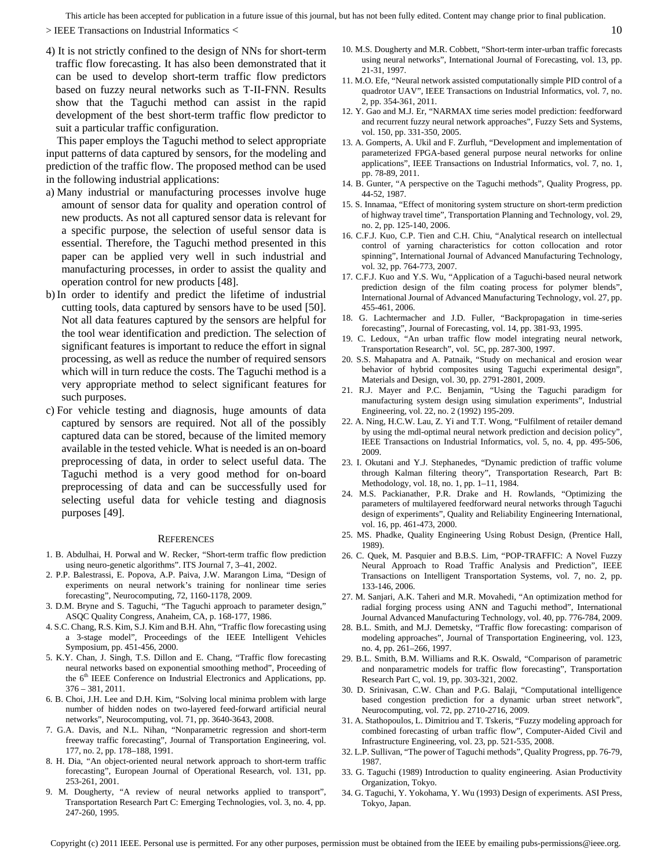This article has been accepted for publication in a future issue of this journal, but has not been fully edited. Content may change prior to final publication.

4) It is not strictly confined to the design of NNs for short-term traffic flow forecasting. It has also been demonstrated that it can be used to develop short-term traffic flow predictors based on fuzzy neural networks such as T-II-FNN. Results show that the Taguchi method can assist in the rapid development of the best short-term traffic flow predictor to suit a particular traffic configuration.

This paper employs the Taguchi method to select appropriate input patterns of data captured by sensors, for the modeling and prediction of the traffic flow. The proposed method can be used in the following industrial applications:

- a) Many industrial or manufacturing processes involve huge amount of sensor data for quality and operation control of new products. As not all captured sensor data is relevant for a specific purpose, the selection of useful sensor data is essential. Therefore, the Taguchi method presented in this paper can be applied very well in such industrial and manufacturing processes, in order to assist the quality and operation control for new products [48].
- b) In order to identify and predict the lifetime of industrial cutting tools, data captured by sensors have to be used [50]. Not all data features captured by the sensors are helpful for the tool wear identification and prediction. The selection of significant features is important to reduce the effort in signal processing, as well as reduce the number of required sensors which will in turn reduce the costs. The Taguchi method is a very appropriate method to select significant features for such purposes.
- c) For vehicle testing and diagnosis, huge amounts of data captured by sensors are required. Not all of the possibly captured data can be stored, because of the limited memory available in the tested vehicle. What is needed is an on-board preprocessing of data, in order to select useful data. The Taguchi method is a very good method for on-board preprocessing of data and can be successfully used for selecting useful data for vehicle testing and diagnosis purposes [49].

#### **REFERENCES**

- 1. B. Abdulhai, H. Porwal and W. Recker, "Short-term traffic flow prediction using neuro-genetic algorithms". ITS Journal 7, 3–41, 2002.
- 2. P.P. Balestrassi, E. Popova, A.P. Paiva, J.W. Marangon Lima, "Design of experiments on neural network's training for nonlinear time series forecasting", Neurocomputing, 72, 1160-1178, 2009.
- 3. D.M. Bryne and S. Taguchi, "The Taguchi approach to parameter design," ASQC Quality Congress, Anaheim, CA, p. 168-177, 1986.
- 4. S.C. Chang, R.S. Kim, S.J. Kim and B.H. Ahn, "Traffic flow forecasting using a 3-stage model", Proceedings of the IEEE Intelligent Vehicles Symposium, pp. 451-456, 2000.
- 5. K.Y. Chan, J. Singh, T.S. Dillon and E. Chang, "Traffic flow forecasting neural networks based on exponential smoothing method", Proceeding of the 6<sup>th</sup> IEEE Conference on Industrial Electronics and Applications, pp. 376 – 381, 2011.
- 6. B. Choi, J.H. Lee and D.H. Kim, "Solving local minima problem with large number of hidden nodes on two-layered feed-forward artificial neural networks", Neurocomputing, vol. 71, pp. 3640-3643, 2008.
- 7. G.A. Davis, and N.L. Nihan, "Nonparametric regression and short-term freeway traffic forecasting", Journal of Transportation Engineering, vol. 177, no. 2, pp. 178–188, 1991.
- 8. H. Dia, "An object-oriented neural network approach to short-term traffic forecasting", European Journal of Operational Research, vol. 131, pp. 253-261, 2001.
- 9. M. Dougherty, "A review of neural networks applied to transport", Transportation Research Part C: Emerging Technologies, vol. 3, no. 4, pp. 247-260, 1995.
- 10. M.S. Dougherty and M.R. Cobbett, "Short-term inter-urban traffic forecasts using neural networks", International Journal of Forecasting, vol. 13, pp. 21-31, 1997.
- 11. M.O. Efe, "Neural network assisted computationally simple PID control of a quadrotor UAV", IEEE Transactions on Industrial Informatics, vol. 7, no. 2, pp. 354-361, 2011.
- 12. Y. Gao and M.J. Er, "NARMAX time series model prediction: feedforward and recurrent fuzzy neural network approaches", Fuzzy Sets and Systems, vol. 150, pp. 331-350, 2005.
- 13. A. Gomperts, A. Ukil and F. Zurfluh, "Development and implementation of parameterized FPGA-based general purpose neural networks for online applications", IEEE Transactions on Industrial Informatics, vol. 7, no. 1, pp. 78-89, 2011.
- 14. B. Gunter, "A perspective on the Taguchi methods", Quality Progress, pp. 44-52, 1987.
- 15. S. Innamaa, "Effect of monitoring system structure on short-term prediction of highway travel time", Transportation Planning and Technology, vol. 29, no. 2, pp. 125-140, 2006.
- 16. C.F.J. Kuo, C.P. Tien and C.H. Chiu, "Analytical research on intellectual control of yarning characteristics for cotton collocation and rotor spinning", International Journal of Advanced Manufacturing Technology, vol. 32, pp. 764-773, 2007.
- 17. C.F.J. Kuo and Y.S. Wu, "Application of a Taguchi-based neural network prediction design of the film coating process for polymer blends", International Journal of Advanced Manufacturing Technology, vol. 27, pp. 455-461, 2006.
- 18. G. Lachtermacher and J.D. Fuller, "Backpropagation in time-series forecasting", Journal of Forecasting, vol. 14, pp. 381-93, 1995.
- 19. C. Ledoux, "An urban traffic flow model integrating neural network, Transportation Research", vol. 5C, pp. 287-300, 1997.
- 20. S.S. Mahapatra and A. Patnaik, "Study on mechanical and erosion wear behavior of hybrid composites using Taguchi experimental design", Materials and Design, vol. 30, pp. 2791-2801, 2009.
- 21. R.J. Mayer and P.C. Benjamin, "Using the Taguchi paradigm for manufacturing system design using simulation experiments", Industrial Engineering, vol. 22, no. 2 (1992) 195-209.
- 22. A. Ning, H.C.W. Lau, Z. Yi and T.T. Wong, "Fulfilment of retailer demand by using the mdl-optimal neural network prediction and decision policy", IEEE Transactions on Industrial Informatics, vol. 5, no. 4, pp. 495-506, 2009.
- 23. I. Okutani and Y.J. Stephanedes, "Dynamic prediction of traffic volume through Kalman filtering theory", Transportation Research, Part B: Methodology, vol. 18, no. 1, pp. 1–11, 1984.
- 24. M.S. Packianather, P.R. Drake and H. Rowlands, "Optimizing the parameters of multilayered feedforward neural networks through Taguchi design of experiments", Quality and Reliability Engineering International, vol. 16, pp. 461-473, 2000.
- 25. MS. Phadke, Quality Engineering Using Robust Design, (Prentice Hall, 1989).
- 26. C. Quek, M. Pasquier and B.B.S. Lim, "POP-TRAFFIC: A Novel Fuzzy Neural Approach to Road Traffic Analysis and Prediction", IEEE Transactions on Intelligent Transportation Systems, vol. 7, no. 2, pp. 133-146, 2006.
- 27. M. Sanjari, A.K. Taheri and M.R. Movahedi, "An optimization method for radial forging process using ANN and Taguchi method", International Journal Advanced Manufacturing Technology, vol. 40, pp. 776-784, 2009.
- 28. B.L. Smith, and M.J. Demetsky, "Traffic flow forecasting: comparison of modeling approaches", Journal of Transportation Engineering, vol. 123, no. 4, pp. 261–266, 1997.
- 29. B.L. Smith, B.M. Williams and R.K. Oswald, "Comparison of parametric and nonparametric models for traffic flow forecasting", Transportation Research Part C, vol. 19, pp. 303-321, 2002.
- 30. D. Srinivasan, C.W. Chan and P.G. Balaji, "Computational intelligence based congestion prediction for a dynamic urban street network", Neurocomputing, vol. 72, pp. 2710-2716, 2009.
- 31. A. Stathopoulos, L. Dimitriou and T. Tskeris, "Fuzzy modeling approach for combined forecasting of urban traffic flow", Computer-Aided Civil and Infrastructure Engineering, vol. 23, pp. 521-535, 2008.
- 32. L.P. Sullivan, "The power of Taguchi methods", Quality Progress, pp. 76-79, 1987.
- 33. G. Taguchi (1989) Introduction to quality engineering. Asian Productivity Organization, Tokyo.
- 34. G. Taguchi, Y. Yokohama, Y. Wu (1993) Design of experiments. ASI Press, Tokyo, Japan.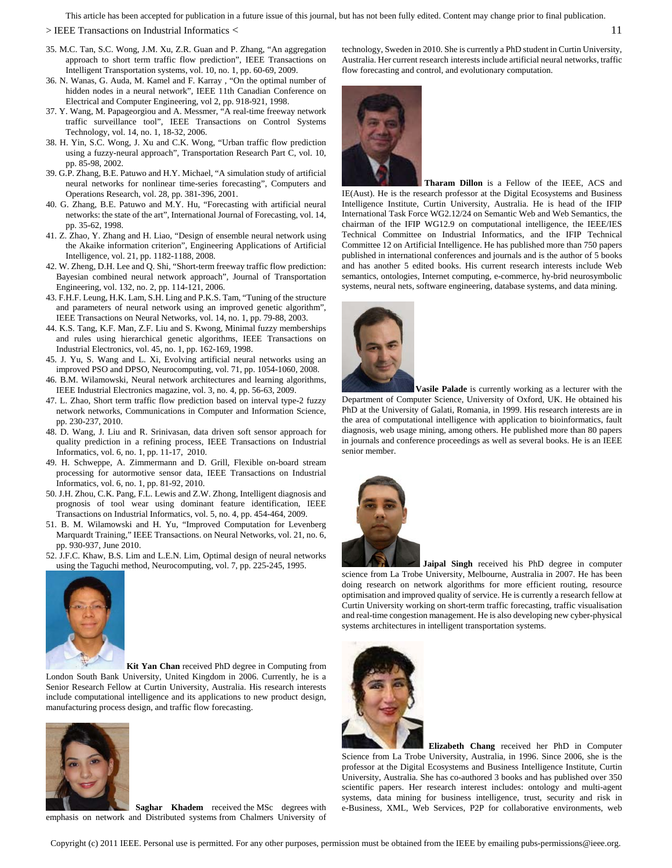This article has been accepted for publication in a future issue of this journal, but has not been fully edited. Content may change prior to final publication.

> IEEE Transactions on Industrial Informatics < 11

- 35. M.C. Tan, S.C. Wong, J.M. Xu, Z.R. Guan and P. Zhang, "An aggregation approach to short term traffic flow prediction", IEEE Transactions on Intelligent Transportation systems, vol. 10, no. 1, pp. 60-69, 2009.
- 36. N. Wanas, G. Auda, M. Kamel and F. Karray , "On the optimal number of hidden nodes in a neural network", IEEE 11th Canadian Conference on Electrical and Computer Engineering, vol 2, pp. 918-921, 1998.
- 37. Y. Wang, M. Papageorgiou and A. Messmer, "A real-time freeway network traffic surveillance tool", IEEE Transactions on Control Systems Technology, vol. 14, no. 1, 18-32, 2006.
- 38. H. Yin, S.C. Wong, J. Xu and C.K. Wong, "Urban traffic flow prediction using a fuzzy-neural approach", Transportation Research Part C, vol. 10, pp. 85-98, 2002.
- 39. G.P. Zhang, B.E. Patuwo and H.Y. Michael, "A simulation study of artificial neural networks for nonlinear time-series forecasting", Computers and Operations Research, vol. 28, pp. 381-396, 2001.
- 40. G. Zhang, B.E. Patuwo and M.Y. Hu, "Forecasting with artificial neural networks: the state of the art", International Journal of Forecasting, vol. 14, pp. 35-62, 1998.
- 41. Z. Zhao, Y. Zhang and H. Liao, "Design of ensemble neural network using the Akaike information criterion", Engineering Applications of Artificial Intelligence, vol. 21, pp. 1182-1188, 2008.
- 42. W. Zheng, D.H. Lee and Q. Shi, "Short-term freeway traffic flow prediction: Bayesian combined neural network approach", Journal of Transportation Engineering, vol. 132, no. 2, pp. 114-121, 2006.
- 43. F.H.F. Leung, H.K. Lam, S.H. Ling and P.K.S. Tam, "Tuning of the structure and parameters of neural network using an improved genetic algorithm", IEEE Transactions on Neural Networks, vol. 14, no. 1, pp. 79-88, 2003.
- 44. K.S. Tang, K.F. Man, Z.F. Liu and S. Kwong, Minimal fuzzy memberships and rules using hierarchical genetic algorithms, IEEE Transactions on Industrial Electronics, vol. 45, no. 1, pp. 162-169, 1998.
- 45. J. Yu, S. Wang and L. Xi, Evolving artificial neural networks using an improved PSO and DPSO, Neurocomputing, vol. 71, pp. 1054-1060, 2008.
- 46. B.M. Wilamowski, Neural network architectures and learning algorithms, IEEE Industrial Electronics magazine, vol. 3, no. 4, pp. 56-63, 2009.
- 47. L. Zhao, Short term traffic flow prediction based on interval type-2 fuzzy network networks, Communications in Computer and Information Science, pp. 230-237, 2010.
- 48. D. Wang, J. Liu and R. Srinivasan, data driven soft sensor approach for quality prediction in a refining process, IEEE Transactions on Industrial Informatics, vol. 6, no. 1, pp. 11-17, 2010.
- 49. H. Schweppe, A. Zimmermann and D. Grill, Flexible on-board stream processing for autormotive sensor data, IEEE Transactions on Industrial Informatics, vol. 6, no. 1, pp. 81-92, 2010.
- 50. J.H. Zhou, C.K. Pang, F.L. Lewis and Z.W. Zhong, Intelligent diagnosis and prognosis of tool wear using dominant feature identification, IEEE Transactions on Industrial Informatics, vol. 5, no. 4, pp. 454-464, 2009.
- 51. B. M. Wilamowski and H. Yu, "Improved Computation for Levenberg Marquardt Training," IEEE Transactions. on Neural Networks, vol. 21, no. 6, pp. 930-937, June 2010.
- 52. J.F.C. Khaw, B.S. Lim and L.E.N. Lim, Optimal design of neural networks using the Taguchi method, Neurocomputing, vol. 7, pp. 225-245, 1995.



**Kit Yan Chan** received PhD degree in Computing from

London South Bank University, United Kingdom in 2006. Currently, he is a Senior Research Fellow at Curtin University, Australia. His research interests include computational intelligence and its applications to new product design, manufacturing process design, and traffic flow forecasting.



 **Saghar Khadem** received the MSc degrees with emphasis on network and Distributed systems from Chalmers University of technology, Sweden in 2010. She is currently a PhD student in Curtin University, Australia. Her current research interests include artificial neural networks, traffic flow forecasting and control, and evolutionary computation.



**Tharam Dillon** is a Fellow of the IEEE, ACS and IE(Aust). He is the research professor at the Digital Ecosystems and Business Intelligence Institute, Curtin University, Australia. He is head of the IFIP International Task Force WG2.12/24 on Semantic Web and Web Semantics, the chairman of the IFIP WG12.9 on computational intelligence, the IEEE/IES Technical Committee on Industrial Informatics, and the IFIP Technical Committee 12 on Artificial Intelligence. He has published more than 750 papers published in international conferences and journals and is the author of 5 books and has another 5 edited books. His current research interests include Web semantics, ontologies, Internet computing, e-commerce, hy-brid neurosymbolic systems, neural nets, software engineering, database systems, and data mining.



 **Vasile Palade** is currently working as a lecturer with the Department of Computer Science, University of Oxford, UK. He obtained his PhD at the University of Galati, Romania, in 1999. His research interests are in the area of computational intelligence with application to bioinformatics, fault diagnosis, web usage mining, among others. He published more than 80 papers in journals and conference proceedings as well as several books. He is an IEEE senior member.



 **Jaipal Singh** received his PhD degree in computer science from La Trobe University, Melbourne, Australia in 2007. He has been doing research on network algorithms for more efficient routing, resource optimisation and improved quality of service. He is currently a research fellow at Curtin University working on short-term traffic forecasting, traffic visualisation and real-time congestion management. He is also developing new cyber-physical systems architectures in intelligent transportation systems.



**Elizabeth Chang** received her PhD in Computer Science from La Trobe University, Australia, in 1996. Since 2006, she is the professor at the Digital Ecosystems and Business Intelligence Institute, Curtin University, Australia. She has co-authored 3 books and has published over 350 scientific papers. Her research interest includes: ontology and multi-agent systems, data mining for business intelligence, trust, security and risk in e-Business, XML, Web Services, P2P for collaborative environments, web